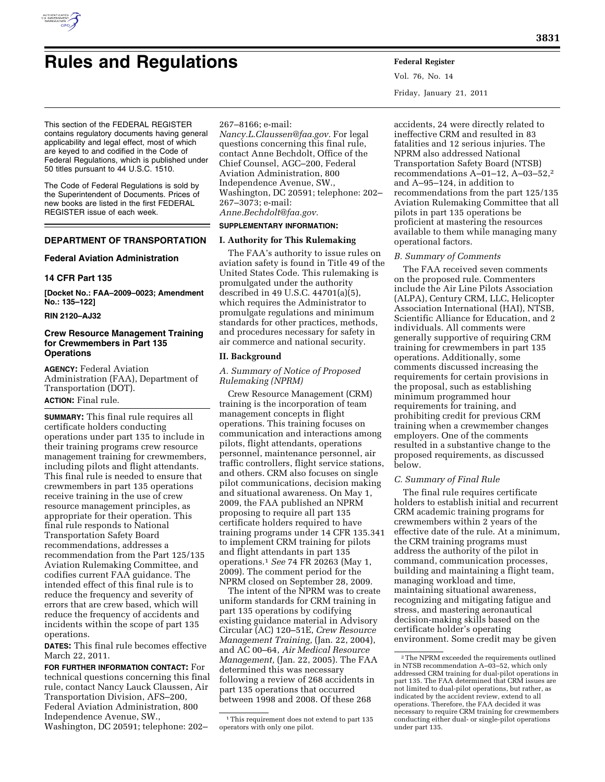

# **Rules and Regulations Federal Register**

Vol. 76, No. 14 Friday, January 21, 2011

This section of the FEDERAL REGISTER contains regulatory documents having general applicability and legal effect, most of which are keyed to and codified in the Code of Federal Regulations, which is published under 50 titles pursuant to 44 U.S.C. 1510.

The Code of Federal Regulations is sold by the Superintendent of Documents. Prices of new books are listed in the first FEDERAL REGISTER issue of each week.

## **DEPARTMENT OF TRANSPORTATION**

#### **Federal Aviation Administration**

### **14 CFR Part 135**

**[Docket No.: FAA–2009–0023; Amendment No.: 135–122]** 

## **RIN 2120–AJ32**

## **Crew Resource Management Training for Crewmembers in Part 135 Operations**

**AGENCY:** Federal Aviation Administration (FAA), Department of Transportation (DOT). **ACTION:** Final rule.

**SUMMARY:** This final rule requires all certificate holders conducting operations under part 135 to include in their training programs crew resource management training for crewmembers, including pilots and flight attendants. This final rule is needed to ensure that crewmembers in part 135 operations receive training in the use of crew resource management principles, as appropriate for their operation. This final rule responds to National Transportation Safety Board recommendations, addresses a recommendation from the Part 125/135 Aviation Rulemaking Committee, and codifies current FAA guidance. The intended effect of this final rule is to reduce the frequency and severity of errors that are crew based, which will reduce the frequency of accidents and incidents within the scope of part 135 operations.

**DATES:** This final rule becomes effective March 22, 2011.

**FOR FURTHER INFORMATION CONTACT:** For technical questions concerning this final rule, contact Nancy Lauck Claussen, Air Transportation Division, AFS–200, Federal Aviation Administration, 800 Independence Avenue, SW., Washington, DC 20591; telephone: 202–

267–8166; e-mail:

*[Nancy.L.Claussen@faa.gov.](mailto:Nancy.L.Claussen@faa.gov)* For legal questions concerning this final rule, contact Anne Bechdolt, Office of the Chief Counsel, AGC–200, Federal Aviation Administration, 800 Independence Avenue, SW., Washington, DC 20591; telephone: 202– 267–3073; e-mail: *[Anne.Bechdolt@faa.gov.](mailto:Anne.Bechdolt@faa.gov)* 

## **SUPPLEMENTARY INFORMATION:**

#### **I. Authority for This Rulemaking**

The FAA's authority to issue rules on aviation safety is found in Title 49 of the United States Code. This rulemaking is promulgated under the authority described in 49 U.S.C. 44701(a)(5), which requires the Administrator to promulgate regulations and minimum standards for other practices, methods, and procedures necessary for safety in air commerce and national security.

## **II. Background**

*A. Summary of Notice of Proposed Rulemaking (NPRM)* 

Crew Resource Management (CRM) training is the incorporation of team management concepts in flight operations. This training focuses on communication and interactions among pilots, flight attendants, operations personnel, maintenance personnel, air traffic controllers, flight service stations, and others. CRM also focuses on single pilot communications, decision making and situational awareness. On May 1, 2009, the FAA published an NPRM proposing to require all part 135 certificate holders required to have training programs under 14 CFR 135.341 to implement CRM training for pilots and flight attendants in part 135 operations.1 *See* 74 FR 20263 (May 1, 2009). The comment period for the NPRM closed on September 28, 2009.

The intent of the NPRM was to create uniform standards for CRM training in part 135 operations by codifying existing guidance material in Advisory Circular (AC) 120–51E, *Crew Resource Management Training,* (Jan. 22, 2004), and AC 00–64, *Air Medical Resource Management,* (Jan. 22, 2005). The FAA determined this was necessary following a review of 268 accidents in part 135 operations that occurred between 1998 and 2008. Of these 268

accidents, 24 were directly related to ineffective CRM and resulted in 83 fatalities and 12 serious injuries. The NPRM also addressed National Transportation Safety Board (NTSB) recommendations A–01–12, A–03–52,2 and A–95–124, in addition to recommendations from the part 125/135 Aviation Rulemaking Committee that all pilots in part 135 operations be proficient at mastering the resources available to them while managing many operational factors.

## *B. Summary of Comments*

The FAA received seven comments on the proposed rule. Commenters include the Air Line Pilots Association (ALPA), Century CRM, LLC, Helicopter Association International (HAI), NTSB, Scientific Alliance for Education, and 2 individuals. All comments were generally supportive of requiring CRM training for crewmembers in part 135 operations. Additionally, some comments discussed increasing the requirements for certain provisions in the proposal, such as establishing minimum programmed hour requirements for training, and prohibiting credit for previous CRM training when a crewmember changes employers. One of the comments resulted in a substantive change to the proposed requirements, as discussed below.

#### *C. Summary of Final Rule*

The final rule requires certificate holders to establish initial and recurrent CRM academic training programs for crewmembers within 2 years of the effective date of the rule. At a minimum, the CRM training programs must address the authority of the pilot in command, communication processes, building and maintaining a flight team, managing workload and time, maintaining situational awareness, recognizing and mitigating fatigue and stress, and mastering aeronautical decision-making skills based on the certificate holder's operating environment. Some credit may be given

<sup>1</sup>This requirement does not extend to part 135 operators with only one pilot.

<sup>2</sup>The NPRM exceeded the requirements outlined in NTSB recommendation A–03–52, which only addressed CRM training for dual-pilot operations in part 135. The FAA determined that CRM issues are not limited to dual-pilot operations, but rather, as indicated by the accident review, extend to all operations. Therefore, the FAA decided it was necessary to require CRM training for crewmembers conducting either dual- or single-pilot operations under part 135.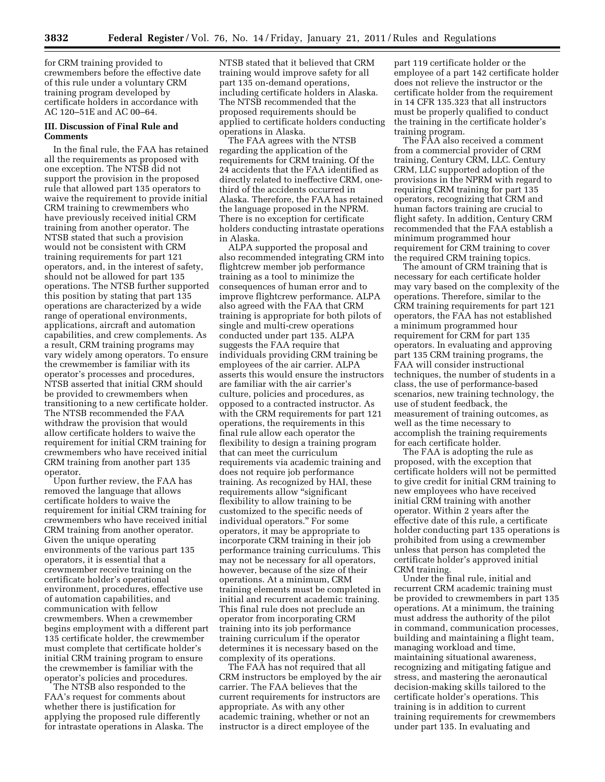for CRM training provided to crewmembers before the effective date of this rule under a voluntary CRM training program developed by certificate holders in accordance with AC 120–51E and AC 00–64.

## **III. Discussion of Final Rule and Comments**

In the final rule, the FAA has retained all the requirements as proposed with one exception. The NTSB did not support the provision in the proposed rule that allowed part 135 operators to waive the requirement to provide initial CRM training to crewmembers who have previously received initial CRM training from another operator. The NTSB stated that such a provision would not be consistent with CRM training requirements for part 121 operators, and, in the interest of safety, should not be allowed for part 135 operations. The NTSB further supported this position by stating that part 135 operations are characterized by a wide range of operational environments, applications, aircraft and automation capabilities, and crew complements. As a result, CRM training programs may vary widely among operators. To ensure the crewmember is familiar with its operator's processes and procedures, NTSB asserted that initial CRM should be provided to crewmembers when transitioning to a new certificate holder. The NTSB recommended the FAA withdraw the provision that would allow certificate holders to waive the requirement for initial CRM training for crewmembers who have received initial CRM training from another part 135 operator.

Upon further review, the FAA has removed the language that allows certificate holders to waive the requirement for initial CRM training for crewmembers who have received initial CRM training from another operator. Given the unique operating environments of the various part 135 operators, it is essential that a crewmember receive training on the certificate holder's operational environment, procedures, effective use of automation capabilities, and communication with fellow crewmembers. When a crewmember begins employment with a different part 135 certificate holder, the crewmember must complete that certificate holder's initial CRM training program to ensure the crewmember is familiar with the operator's policies and procedures.

The NTSB also responded to the FAA's request for comments about whether there is justification for applying the proposed rule differently for intrastate operations in Alaska. The NTSB stated that it believed that CRM training would improve safety for all part 135 on-demand operations, including certificate holders in Alaska. The NTSB recommended that the proposed requirements should be applied to certificate holders conducting operations in Alaska.

The FAA agrees with the NTSB regarding the application of the requirements for CRM training. Of the 24 accidents that the FAA identified as directly related to ineffective CRM, onethird of the accidents occurred in Alaska. Therefore, the FAA has retained the language proposed in the NPRM. There is no exception for certificate holders conducting intrastate operations in Alaska.

ALPA supported the proposal and also recommended integrating CRM into flightcrew member job performance training as a tool to minimize the consequences of human error and to improve flightcrew performance. ALPA also agreed with the FAA that CRM training is appropriate for both pilots of single and multi-crew operations conducted under part 135. ALPA suggests the FAA require that individuals providing CRM training be employees of the air carrier. ALPA asserts this would ensure the instructors are familiar with the air carrier's culture, policies and procedures, as opposed to a contracted instructor. As with the CRM requirements for part 121 operations, the requirements in this final rule allow each operator the flexibility to design a training program that can meet the curriculum requirements via academic training and does not require job performance training. As recognized by HAI, these requirements allow ''significant flexibility to allow training to be customized to the specific needs of individual operators.'' For some operators, it may be appropriate to incorporate CRM training in their job performance training curriculums. This may not be necessary for all operators, however, because of the size of their operations. At a minimum, CRM training elements must be completed in initial and recurrent academic training. This final rule does not preclude an operator from incorporating CRM training into its job performance training curriculum if the operator determines it is necessary based on the complexity of its operations.

The FAA has not required that all CRM instructors be employed by the air carrier. The FAA believes that the current requirements for instructors are appropriate. As with any other academic training, whether or not an instructor is a direct employee of the

part 119 certificate holder or the employee of a part 142 certificate holder does not relieve the instructor or the certificate holder from the requirement in 14 CFR 135.323 that all instructors must be properly qualified to conduct the training in the certificate holder's training program.

The FAA also received a comment from a commercial provider of CRM training, Century CRM, LLC. Century CRM, LLC supported adoption of the provisions in the NPRM with regard to requiring CRM training for part 135 operators, recognizing that CRM and human factors training are crucial to flight safety. In addition, Century CRM recommended that the FAA establish a minimum programmed hour requirement for CRM training to cover the required CRM training topics.

The amount of CRM training that is necessary for each certificate holder may vary based on the complexity of the operations. Therefore, similar to the CRM training requirements for part 121 operators, the FAA has not established a minimum programmed hour requirement for CRM for part 135 operators. In evaluating and approving part 135 CRM training programs, the FAA will consider instructional techniques, the number of students in a class, the use of performance-based scenarios, new training technology, the use of student feedback, the measurement of training outcomes, as well as the time necessary to accomplish the training requirements for each certificate holder.

The FAA is adopting the rule as proposed, with the exception that certificate holders will not be permitted to give credit for initial CRM training to new employees who have received initial CRM training with another operator. Within 2 years after the effective date of this rule, a certificate holder conducting part 135 operations is prohibited from using a crewmember unless that person has completed the certificate holder's approved initial CRM training.

Under the final rule, initial and recurrent CRM academic training must be provided to crewmembers in part 135 operations. At a minimum, the training must address the authority of the pilot in command, communication processes, building and maintaining a flight team, managing workload and time, maintaining situational awareness, recognizing and mitigating fatigue and stress, and mastering the aeronautical decision-making skills tailored to the certificate holder's operations. This training is in addition to current training requirements for crewmembers under part 135. In evaluating and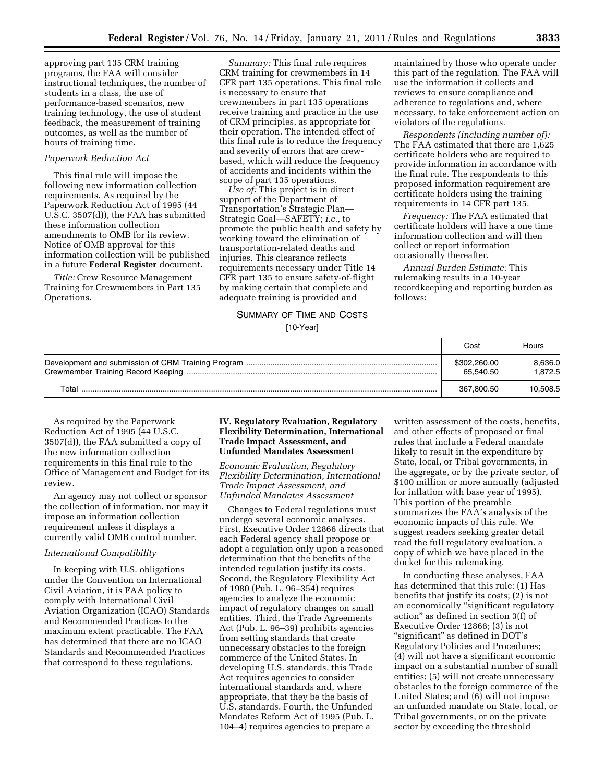approving part 135 CRM training programs, the FAA will consider instructional techniques, the number of students in a class, the use of performance-based scenarios, new training technology, the use of student feedback, the measurement of training outcomes, as well as the number of hours of training time.

## *Paperwork Reduction Act*

This final rule will impose the following new information collection requirements. As required by the Paperwork Reduction Act of 1995 (44 U.S.C. 3507(d)), the FAA has submitted these information collection amendments to OMB for its review. Notice of OMB approval for this information collection will be published in a future **Federal Register** document.

*Title:* Crew Resource Management Training for Crewmembers in Part 135 Operations.

*Summary:* This final rule requires CRM training for crewmembers in 14 CFR part 135 operations. This final rule is necessary to ensure that crewmembers in part 135 operations receive training and practice in the use of CRM principles, as appropriate for their operation. The intended effect of this final rule is to reduce the frequency and severity of errors that are crewbased, which will reduce the frequency of accidents and incidents within the scope of part 135 operations.

*Use of:* This project is in direct support of the Department of Transportation's Strategic Plan— Strategic Goal—SAFETY; *i.e.,* to promote the public health and safety by working toward the elimination of transportation-related deaths and injuries. This clearance reflects requirements necessary under Title 14 CFR part 135 to ensure safety-of-flight by making certain that complete and adequate training is provided and

maintained by those who operate under this part of the regulation. The FAA will use the information it collects and reviews to ensure compliance and adherence to regulations and, where necessary, to take enforcement action on violators of the regulations.

*Respondents (including number of):*  The FAA estimated that there are 1,625 certificate holders who are required to provide information in accordance with the final rule. The respondents to this proposed information requirement are certificate holders using the training requirements in 14 CFR part 135.

*Frequency:* The FAA estimated that certificate holders will have a one time information collection and will then collect or report information occasionally thereafter.

*Annual Burden Estimate:* This rulemaking results in a 10-year recordkeeping and reporting burden as follows:

## SUMMARY OF TIME AND COSTS

## [10-Year]

|       | Cost                      | Hours             |
|-------|---------------------------|-------------------|
|       | \$302,260.00<br>65.540.50 | 8,636.0<br>.872.5 |
| Total | 367.800.50                | 10,508.5          |

As required by the Paperwork Reduction Act of 1995 (44 U.S.C. 3507(d)), the FAA submitted a copy of the new information collection requirements in this final rule to the Office of Management and Budget for its review.

An agency may not collect or sponsor the collection of information, nor may it impose an information collection requirement unless it displays a currently valid OMB control number.

### *International Compatibility*

In keeping with U.S. obligations under the Convention on International Civil Aviation, it is FAA policy to comply with International Civil Aviation Organization (ICAO) Standards and Recommended Practices to the maximum extent practicable. The FAA has determined that there are no ICAO Standards and Recommended Practices that correspond to these regulations.

## **IV. Regulatory Evaluation, Regulatory Flexibility Determination, International Trade Impact Assessment, and Unfunded Mandates Assessment**

*Economic Evaluation, Regulatory Flexibility Determination, International Trade Impact Assessment, and Unfunded Mandates Assessment* 

Changes to Federal regulations must undergo several economic analyses. First, Executive Order 12866 directs that each Federal agency shall propose or adopt a regulation only upon a reasoned determination that the benefits of the intended regulation justify its costs. Second, the Regulatory Flexibility Act of 1980 (Pub. L. 96–354) requires agencies to analyze the economic impact of regulatory changes on small entities. Third, the Trade Agreements Act (Pub. L. 96–39) prohibits agencies from setting standards that create unnecessary obstacles to the foreign commerce of the United States. In developing U.S. standards, this Trade Act requires agencies to consider international standards and, where appropriate, that they be the basis of U.S. standards. Fourth, the Unfunded Mandates Reform Act of 1995 (Pub. L. 104–4) requires agencies to prepare a

written assessment of the costs, benefits, and other effects of proposed or final rules that include a Federal mandate likely to result in the expenditure by State, local, or Tribal governments, in the aggregate, or by the private sector, of \$100 million or more annually (adjusted for inflation with base year of 1995). This portion of the preamble summarizes the FAA's analysis of the economic impacts of this rule. We suggest readers seeking greater detail read the full regulatory evaluation, a copy of which we have placed in the docket for this rulemaking.

In conducting these analyses, FAA has determined that this rule: (1) Has benefits that justify its costs; (2) is not an economically ''significant regulatory action'' as defined in section 3(f) of Executive Order 12866; (3) is not ''significant'' as defined in DOT's Regulatory Policies and Procedures; (4) will not have a significant economic impact on a substantial number of small entities; (5) will not create unnecessary obstacles to the foreign commerce of the United States; and (6) will not impose an unfunded mandate on State, local, or Tribal governments, or on the private sector by exceeding the threshold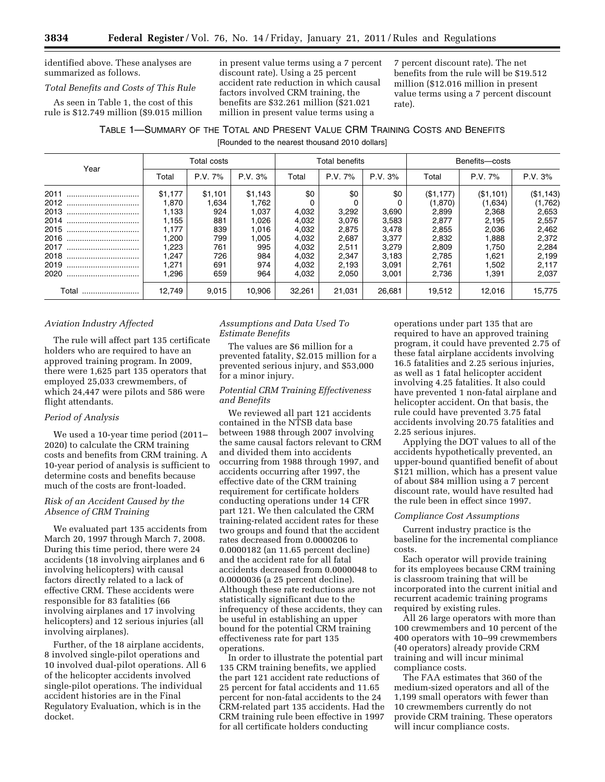identified above. These analyses are summarized as follows.

## *Total Benefits and Costs of This Rule*

As seen in Table 1, the cost of this rule is \$12.749 million (\$9.015 million in present value terms using a 7 percent discount rate). Using a 25 percent accident rate reduction in which causal factors involved CRM training, the benefits are \$32.261 million (\$21.021 million in present value terms using a

7 percent discount rate). The net benefits from the rule will be \$19.512 million (\$12.016 million in present value terms using a 7 percent discount rate).

## TABLE 1—SUMMARY OF THE TOTAL AND PRESENT VALUE CRM TRAINING COSTS AND BENEFITS

[Rounded to the nearest thousand 2010 dollars]

| Year      | Total costs |         | <b>Total benefits</b> |        | Benefits-costs |         |           |           |           |
|-----------|-------------|---------|-----------------------|--------|----------------|---------|-----------|-----------|-----------|
|           | Total       | P.V. 7% | P.V. 3%               | Total  | P.V. 7%        | P.V. 3% | Total     | P.V. 7%   | P.V. 3%   |
| 2011<br>  | \$1.177     | \$1,101 | \$1,143               | \$0    | \$0            | \$0     | (\$1,177) | (\$1,101) | (\$1,143) |
| 2012<br>  | 1.870       | 1,634   | 1.762                 |        |                |         | (1,870)   | (1,634)   | (1,762)   |
| 2013<br>  | 1,133       | 924     | 1.037                 | 4,032  | 3,292          | 3,690   | 2,899     | 2,368     | 2,653     |
| 2014      | 1,155       | 881     | 1,026                 | 4,032  | 3.076          | 3,583   | 2,877     | 2,195     | 2,557     |
| 2015<br>  | 1.177       | 839     | 1,016                 | 4,032  | 2,875          | 3,478   | 2,855     | 2,036     | 2,462     |
| 2016<br>  | ,200        | 799     | 1,005                 | 4,032  | 2,687          | 3,377   | 2,832     | 1,888     | 2,372     |
| 2017<br>  | 223.        | 761     | 995                   | 4,032  | 2,511          | 3,279   | 2,809     | 1.750     | 2,284     |
| 2018      | .247        | 726     | 984                   | 4,032  | 2,347          | 3,183   | 2.785     | 1.621     | 2,199     |
| 2019      | 271. ا      | 691     | 974                   | 4,032  | 2,193          | 3,091   | 2,761     | 1,502     | 2,117     |
| 2020<br>  | .296        | 659     | 964                   | 4.032  | 2.050          | 3.001   | 2.736     | 1,391     | 2,037     |
| Total<br> | 12.749      | 9,015   | 10.906                | 32,261 | 21.031         | 26,681  | 19,512    | 12.016    | 15.775    |

## *Aviation Industry Affected*

The rule will affect part 135 certificate holders who are required to have an approved training program. In 2009, there were 1,625 part 135 operators that employed 25,033 crewmembers, of which 24,447 were pilots and 586 were flight attendants.

## *Period of Analysis*

We used a 10-year time period (2011– 2020) to calculate the CRM training costs and benefits from CRM training. A 10-year period of analysis is sufficient to determine costs and benefits because much of the costs are front-loaded.

## *Risk of an Accident Caused by the Absence of CRM Training*

We evaluated part 135 accidents from March 20, 1997 through March 7, 2008. During this time period, there were 24 accidents (18 involving airplanes and 6 involving helicopters) with causal factors directly related to a lack of effective CRM. These accidents were responsible for 83 fatalities (66 involving airplanes and 17 involving helicopters) and 12 serious injuries (all involving airplanes).

Further, of the 18 airplane accidents, 8 involved single-pilot operations and 10 involved dual-pilot operations. All 6 of the helicopter accidents involved single-pilot operations. The individual accident histories are in the Final Regulatory Evaluation, which is in the docket.

## *Assumptions and Data Used To Estimate Benefits*

The values are \$6 million for a prevented fatality, \$2.015 million for a prevented serious injury, and \$53,000 for a minor injury.

## *Potential CRM Training Effectiveness and Benefits*

We reviewed all part 121 accidents contained in the NTSB data base between 1988 through 2007 involving the same causal factors relevant to CRM and divided them into accidents occurring from 1988 through 1997, and accidents occurring after 1997, the effective date of the CRM training requirement for certificate holders conducting operations under 14 CFR part 121. We then calculated the CRM training-related accident rates for these two groups and found that the accident rates decreased from 0.0000206 to 0.0000182 (an 11.65 percent decline) and the accident rate for all fatal accidents decreased from 0.0000048 to 0.0000036 (a 25 percent decline). Although these rate reductions are not statistically significant due to the infrequency of these accidents, they can be useful in establishing an upper bound for the potential CRM training effectiveness rate for part 135 operations.

In order to illustrate the potential part 135 CRM training benefits, we applied the part 121 accident rate reductions of 25 percent for fatal accidents and 11.65 percent for non-fatal accidents to the 24 CRM-related part 135 accidents. Had the CRM training rule been effective in 1997 for all certificate holders conducting

operations under part 135 that are required to have an approved training program, it could have prevented 2.75 of these fatal airplane accidents involving 16.5 fatalities and 2.25 serious injuries, as well as 1 fatal helicopter accident involving 4.25 fatalities. It also could have prevented 1 non-fatal airplane and helicopter accident. On that basis, the rule could have prevented 3.75 fatal accidents involving 20.75 fatalities and 2.25 serious injures.

Applying the DOT values to all of the accidents hypothetically prevented, an upper-bound quantified benefit of about \$121 million, which has a present value of about \$84 million using a 7 percent discount rate, would have resulted had the rule been in effect since 1997.

### *Compliance Cost Assumptions*

Current industry practice is the baseline for the incremental compliance costs.

Each operator will provide training for its employees because CRM training is classroom training that will be incorporated into the current initial and recurrent academic training programs required by existing rules.

All 26 large operators with more than 100 crewmembers and 10 percent of the 400 operators with 10–99 crewmembers (40 operators) already provide CRM training and will incur minimal compliance costs.

The FAA estimates that 360 of the medium-sized operators and all of the 1,199 small operators with fewer than 10 crewmembers currently do not provide CRM training. These operators will incur compliance costs.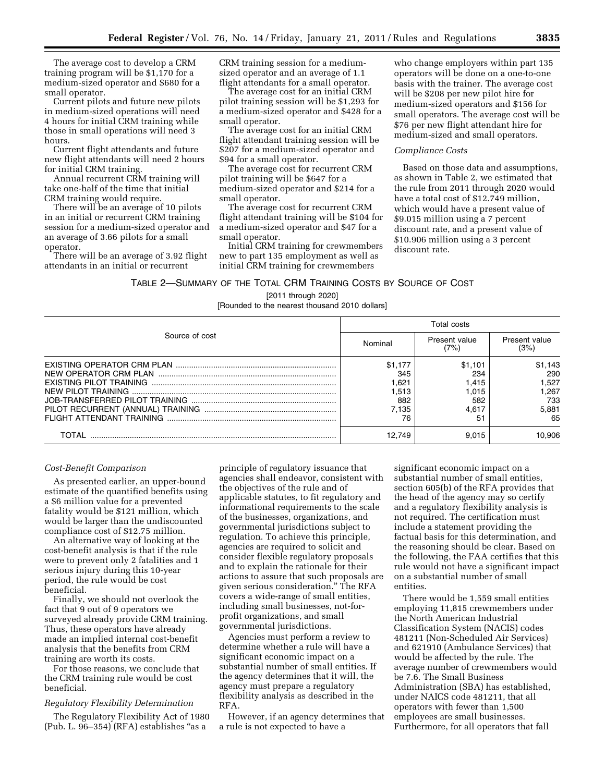The average cost to develop a CRM training program will be \$1,170 for a medium-sized operator and \$680 for a small operator.

Current pilots and future new pilots in medium-sized operations will need 4 hours for initial CRM training while those in small operations will need 3 hours.

Current flight attendants and future new flight attendants will need 2 hours for initial CRM training.

Annual recurrent CRM training will take one-half of the time that initial CRM training would require.

There will be an average of 10 pilots in an initial or recurrent CRM training session for a medium-sized operator and an average of 3.66 pilots for a small operator.

There will be an average of 3.92 flight attendants in an initial or recurrent

CRM training session for a mediumsized operator and an average of 1.1 flight attendants for a small operator.

The average cost for an initial CRM pilot training session will be \$1,293 for a medium-sized operator and \$428 for a small operator.

The average cost for an initial CRM flight attendant training session will be \$207 for a medium-sized operator and \$94 for a small operator.

The average cost for recurrent CRM pilot training will be \$647 for a medium-sized operator and \$214 for a small operator.

The average cost for recurrent CRM flight attendant training will be \$104 for a medium-sized operator and \$47 for a small operator.

Initial CRM training for crewmembers new to part 135 employment as well as initial CRM training for crewmembers

who change employers within part 135 operators will be done on a one-to-one basis with the trainer. The average cost will be \$208 per new pilot hire for medium-sized operators and \$156 for small operators. The average cost will be \$76 per new flight attendant hire for medium-sized and small operators.

#### *Compliance Costs*

Based on those data and assumptions, as shown in Table 2, we estimated that the rule from 2011 through 2020 would have a total cost of \$12.749 million, which would have a present value of \$9.015 million using a 7 percent discount rate, and a present value of \$10.906 million using a 3 percent discount rate.

TABLE 2—SUMMARY OF THE TOTAL CRM TRAINING COSTS BY SOURCE OF COST

## [2011 through 2020]

[Rounded to the nearest thousand 2010 dollars]

|                | Total costs |                       |                       |  |
|----------------|-------------|-----------------------|-----------------------|--|
| Source of cost | Nominal     | Present value<br>(7%) | Present value<br>(3%) |  |
|                | \$1.177     | \$1,101               | \$1,143               |  |
|                | 345         | 234                   | 290                   |  |
|                | 1.621       | 1.415                 | 1.527                 |  |
|                | 1,513       | 1.015                 | 1.267                 |  |
|                | 882         | 582                   | 733                   |  |
|                | 7,135       | 4.617                 | 5,881                 |  |
|                | 76          | 51                    | 65                    |  |
| TOTAL          | 12.749      | 9.015                 | 10,906                |  |

#### *Cost-Benefit Comparison*

As presented earlier, an upper-bound estimate of the quantified benefits using a \$6 million value for a prevented fatality would be \$121 million, which would be larger than the undiscounted compliance cost of \$12.75 million.

An alternative way of looking at the cost-benefit analysis is that if the rule were to prevent only 2 fatalities and 1 serious injury during this 10-year period, the rule would be cost beneficial.

Finally, we should not overlook the fact that 9 out of 9 operators we surveyed already provide CRM training. Thus, these operators have already made an implied internal cost-benefit analysis that the benefits from CRM training are worth its costs.

For those reasons, we conclude that the CRM training rule would be cost beneficial.

#### *Regulatory Flexibility Determination*

The Regulatory Flexibility Act of 1980 (Pub. L. 96–354) (RFA) establishes ''as a

principle of regulatory issuance that agencies shall endeavor, consistent with the objectives of the rule and of applicable statutes, to fit regulatory and informational requirements to the scale of the businesses, organizations, and governmental jurisdictions subject to regulation. To achieve this principle, agencies are required to solicit and consider flexible regulatory proposals and to explain the rationale for their actions to assure that such proposals are given serious consideration.'' The RFA covers a wide-range of small entities, including small businesses, not-forprofit organizations, and small governmental jurisdictions.

Agencies must perform a review to determine whether a rule will have a significant economic impact on a substantial number of small entities. If the agency determines that it will, the agency must prepare a regulatory flexibility analysis as described in the RFA.

However, if an agency determines that a rule is not expected to have a

significant economic impact on a substantial number of small entities, section 605(b) of the RFA provides that the head of the agency may so certify and a regulatory flexibility analysis is not required. The certification must include a statement providing the factual basis for this determination, and the reasoning should be clear. Based on the following, the FAA certifies that this rule would not have a significant impact on a substantial number of small entities.

There would be 1,559 small entities employing 11,815 crewmembers under the North American Industrial Classification System (NACIS) codes 481211 (Non-Scheduled Air Services) and 621910 (Ambulance Services) that would be affected by the rule. The average number of crewmembers would be 7.6. The Small Business Administration (SBA) has established, under NAICS code 481211, that all operators with fewer than 1,500 employees are small businesses. Furthermore, for all operators that fall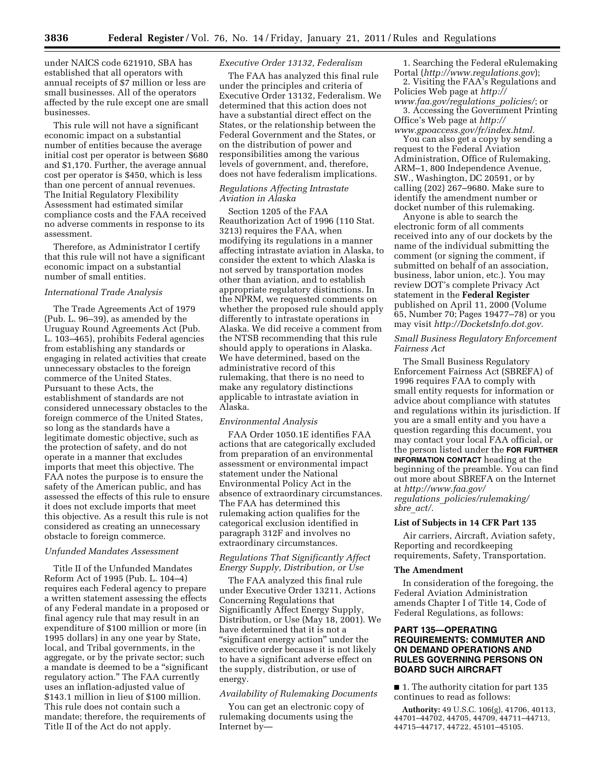under NAICS code 621910, SBA has established that all operators with annual receipts of \$7 million or less are small businesses. All of the operators affected by the rule except one are small businesses.

This rule will not have a significant economic impact on a substantial number of entities because the average initial cost per operator is between \$680 and \$1,170. Further, the average annual cost per operator is \$450, which is less than one percent of annual revenues. The Initial Regulatory Flexibility Assessment had estimated similar compliance costs and the FAA received no adverse comments in response to its assessment.

Therefore, as Administrator I certify that this rule will not have a significant economic impact on a substantial number of small entities.

## *International Trade Analysis*

The Trade Agreements Act of 1979 (Pub. L. 96–39), as amended by the Uruguay Round Agreements Act (Pub. L. 103–465), prohibits Federal agencies from establishing any standards or engaging in related activities that create unnecessary obstacles to the foreign commerce of the United States. Pursuant to these Acts, the establishment of standards are not considered unnecessary obstacles to the foreign commerce of the United States, so long as the standards have a legitimate domestic objective, such as the protection of safety, and do not operate in a manner that excludes imports that meet this objective. The FAA notes the purpose is to ensure the safety of the American public, and has assessed the effects of this rule to ensure it does not exclude imports that meet this objective. As a result this rule is not considered as creating an unnecessary obstacle to foreign commerce.

#### *Unfunded Mandates Assessment*

Title II of the Unfunded Mandates Reform Act of 1995 (Pub. L. 104–4) requires each Federal agency to prepare a written statement assessing the effects of any Federal mandate in a proposed or final agency rule that may result in an expenditure of \$100 million or more (in 1995 dollars) in any one year by State, local, and Tribal governments, in the aggregate, or by the private sector; such a mandate is deemed to be a ''significant regulatory action.'' The FAA currently uses an inflation-adjusted value of \$143.1 million in lieu of \$100 million. This rule does not contain such a mandate; therefore, the requirements of Title II of the Act do not apply.

#### *Executive Order 13132, Federalism*

The FAA has analyzed this final rule under the principles and criteria of Executive Order 13132, Federalism. We determined that this action does not have a substantial direct effect on the States, or the relationship between the Federal Government and the States, or on the distribution of power and responsibilities among the various levels of government, and, therefore, does not have federalism implications.

## *Regulations Affecting Intrastate Aviation in Alaska*

Section 1205 of the FAA Reauthorization Act of 1996 (110 Stat. 3213) requires the FAA, when modifying its regulations in a manner affecting intrastate aviation in Alaska, to consider the extent to which Alaska is not served by transportation modes other than aviation, and to establish appropriate regulatory distinctions. In the NPRM, we requested comments on whether the proposed rule should apply differently to intrastate operations in Alaska. We did receive a comment from the NTSB recommending that this rule should apply to operations in Alaska. We have determined, based on the administrative record of this rulemaking, that there is no need to make any regulatory distinctions applicable to intrastate aviation in Alaska.

## *Environmental Analysis*

FAA Order 1050.1E identifies FAA actions that are categorically excluded from preparation of an environmental assessment or environmental impact statement under the National Environmental Policy Act in the absence of extraordinary circumstances. The FAA has determined this rulemaking action qualifies for the categorical exclusion identified in paragraph 312F and involves no extraordinary circumstances.

## *Regulations That Significantly Affect Energy Supply, Distribution, or Use*

The FAA analyzed this final rule under Executive Order 13211, Actions Concerning Regulations that Significantly Affect Energy Supply, Distribution, or Use (May 18, 2001). We have determined that it is not a "significant energy action" under the executive order because it is not likely to have a significant adverse effect on the supply, distribution, or use of energy.

## *Availability of Rulemaking Documents*

You can get an electronic copy of rulemaking documents using the Internet by—

1. Searching the Federal eRulemaking Portal (*<http://www.regulations.gov>*);

2. Visiting the FAA's Regulations and Policies Web page at *[http://](http://www.faa.gov/regulations_policies/)* 

*[www.faa.gov/regulations](http://www.faa.gov/regulations_policies/)*\_*policies/*; or 3. Accessing the Government Printing Office's Web page at *[http://](http://www.gpoaccess.gov/fr/index.html)* 

*[www.gpoaccess.gov/fr/index.html.](http://www.gpoaccess.gov/fr/index.html)*  You can also get a copy by sending a request to the Federal Aviation Administration, Office of Rulemaking, ARM–1, 800 Independence Avenue, SW., Washington, DC 20591, or by calling (202) 267–9680. Make sure to identify the amendment number or docket number of this rulemaking.

Anyone is able to search the electronic form of all comments received into any of our dockets by the name of the individual submitting the comment (or signing the comment, if submitted on behalf of an association, business, labor union, etc.). You may review DOT's complete Privacy Act statement in the **Federal Register**  published on April 11, 2000 (Volume 65, Number 70; Pages 19477–78) or you may visit *[http://DocketsInfo.dot.gov.](http://DocketsInfo.dot.gov)* 

## *Small Business Regulatory Enforcement Fairness Act*

The Small Business Regulatory Enforcement Fairness Act (SBREFA) of 1996 requires FAA to comply with small entity requests for information or advice about compliance with statutes and regulations within its jurisdiction. If you are a small entity and you have a question regarding this document, you may contact your local FAA official, or the person listed under the **FOR FURTHER INFORMATION CONTACT** heading at the beginning of the preamble. You can find out more about SBREFA on the Internet at *[http://www.faa.gov/](http://www.faa.gov/regulations_policies/rulemaking/sbre_act/)  regulations*\_*[policies/rulemaking/](http://www.faa.gov/regulations_policies/rulemaking/sbre_act/)  sbre*\_*[act/.](http://www.faa.gov/regulations_policies/rulemaking/sbre_act/)* 

#### **List of Subjects in 14 CFR Part 135**

Air carriers, Aircraft, Aviation safety, Reporting and recordkeeping requirements, Safety, Transportation.

#### **The Amendment**

In consideration of the foregoing, the Federal Aviation Administration amends Chapter I of Title 14, Code of Federal Regulations, as follows:

## **PART 135—OPERATING REQUIREMENTS: COMMUTER AND ON DEMAND OPERATIONS AND RULES GOVERNING PERSONS ON BOARD SUCH AIRCRAFT**

■ 1. The authority citation for part 135 continues to read as follows:

**Authority:** 49 U.S.C. 106(g), 41706, 40113, 44701–44702, 44705, 44709, 44711–44713, 44715–44717, 44722, 45101–45105.